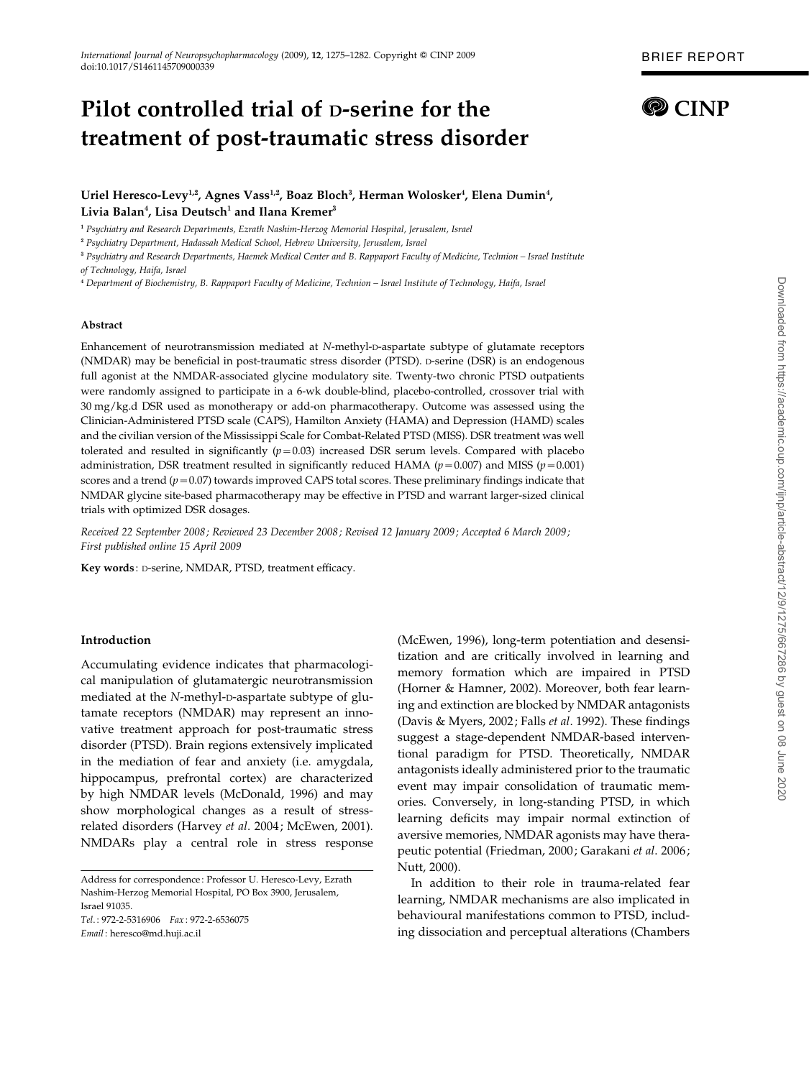# Pilot controlled trial of D-serine for the treatment of post-traumatic stress disorder

# Uriel Heresco-Levy<sup>1,2</sup>, Agnes Vass<sup>1,2</sup>, Boaz Bloch<sup>3</sup>, Herman Wolosker<sup>4</sup>, Elena Dumin<sup>4</sup>, Livia Balan<sup>4</sup>, Lisa Deutsch<sup>1</sup> and Ilana Kremer<sup>3</sup>

<sup>1</sup> Psychiatry and Research Departments, Ezrath Nashim-Herzog Memorial Hospital, Jerusalem, Israel

<sup>2</sup> Psychiatry Department, Hadassah Medical School, Hebrew University, Jerusalem, Israel

<sup>3</sup> Psychiatry and Research Departments, Haemek Medical Center and B. Rappaport Faculty of Medicine, Technion – Israel Institute of Technology, Haifa, Israel

<sup>4</sup> Department of Biochemistry, B. Rappaport Faculty of Medicine, Technion – Israel Institute of Technology, Haifa, Israel

#### Abstract

Enhancement of neurotransmission mediated at N-methyl-p-aspartate subtype of glutamate receptors (NMDAR) may be beneficial in post-traumatic stress disorder (PTSD). D-serine (DSR) is an endogenous full agonist at the NMDAR-associated glycine modulatory site. Twenty-two chronic PTSD outpatients were randomly assigned to participate in a 6-wk double-blind, placebo-controlled, crossover trial with 30 mg/kg.d DSR used as monotherapy or add-on pharmacotherapy. Outcome was assessed using the Clinician-Administered PTSD scale (CAPS), Hamilton Anxiety (HAMA) and Depression (HAMD) scales and the civilian version of the Mississippi Scale for Combat-Related PTSD (MISS). DSR treatment was well tolerated and resulted in significantly  $(p=0.03)$  increased DSR serum levels. Compared with placebo administration, DSR treatment resulted in significantly reduced HAMA ( $p=0.007$ ) and MISS ( $p=0.001$ ) scores and a trend ( $p=0.07$ ) towards improved CAPS total scores. These preliminary findings indicate that NMDAR glycine site-based pharmacotherapy may be effective in PTSD and warrant larger-sized clinical trials with optimized DSR dosages.

Received 22 September 2008; Reviewed 23 December 2008; Revised 12 January 2009; Accepted 6 March 2009; First published online 15 April 2009

Key words: D-serine, NMDAR, PTSD, treatment efficacy.

#### Introduction

Accumulating evidence indicates that pharmacological manipulation of glutamatergic neurotransmission mediated at the N-methyl-D-aspartate subtype of glutamate receptors (NMDAR) may represent an innovative treatment approach for post-traumatic stress disorder (PTSD). Brain regions extensively implicated in the mediation of fear and anxiety (i.e. amygdala, hippocampus, prefrontal cortex) are characterized by high NMDAR levels (McDonald, 1996) and may show morphological changes as a result of stressrelated disorders (Harvey et al. 2004; McEwen, 2001). NMDARs play a central role in stress response

Tel. : 972-2-5316906 Fax : 972-2-6536075 Email : heresco@md.huji.ac.il

(McEwen, 1996), long-term potentiation and desensitization and are critically involved in learning and memory formation which are impaired in PTSD (Horner & Hamner, 2002). Moreover, both fear learning and extinction are blocked by NMDAR antagonists (Davis & Myers, 2002; Falls et al. 1992). These findings suggest a stage-dependent NMDAR-based interventional paradigm for PTSD. Theoretically, NMDAR antagonists ideally administered prior to the traumatic event may impair consolidation of traumatic memories. Conversely, in long-standing PTSD, in which learning deficits may impair normal extinction of aversive memories, NMDAR agonists may have therapeutic potential (Friedman, 2000; Garakani et al. 2006; Nutt, 2000).

In addition to their role in trauma-related fear learning, NMDAR mechanisms are also implicated in behavioural manifestations common to PTSD, including dissociation and perceptual alterations (Chambers

Address for correspondence : Professor U. Heresco-Levy, Ezrath Nashim-Herzog Memorial Hospital, PO Box 3900, Jerusalem, Israel 91035.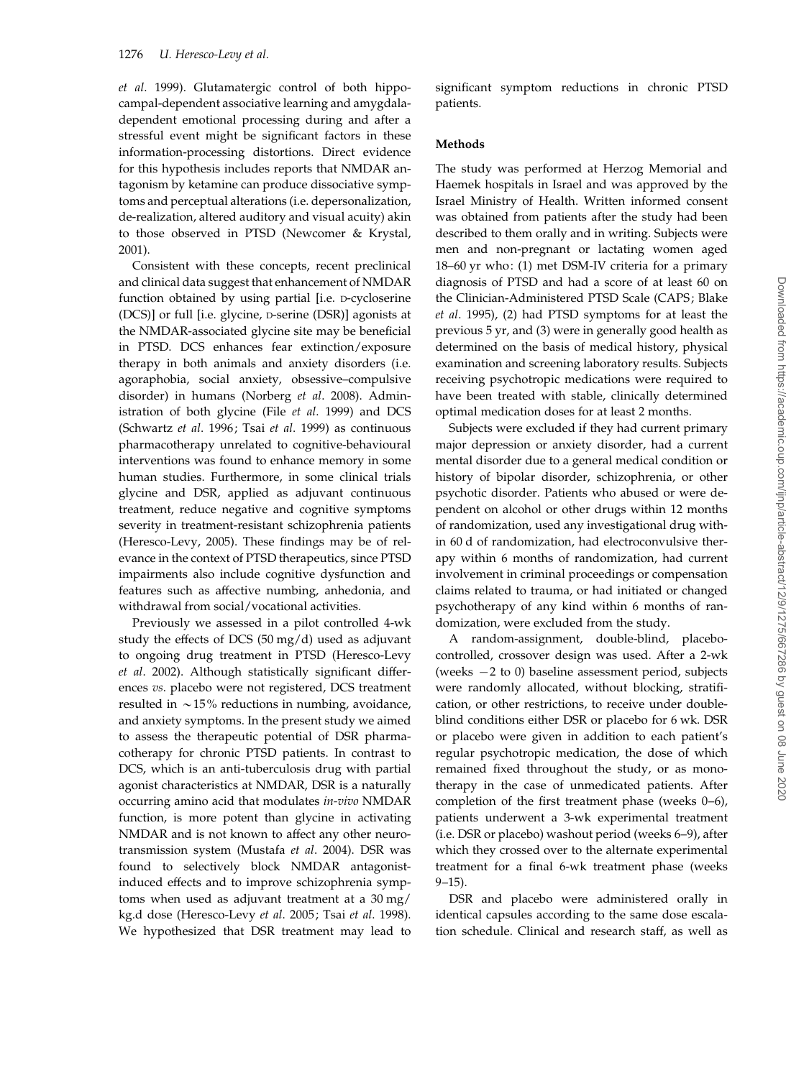et al. 1999). Glutamatergic control of both hippocampal-dependent associative learning and amygdaladependent emotional processing during and after a stressful event might be significant factors in these information-processing distortions. Direct evidence for this hypothesis includes reports that NMDAR antagonism by ketamine can produce dissociative symptoms and perceptual alterations (i.e. depersonalization, de-realization, altered auditory and visual acuity) akin to those observed in PTSD (Newcomer & Krystal, 2001).

Consistent with these concepts, recent preclinical and clinical data suggest that enhancement of NMDAR function obtained by using partial [i.e. D-cycloserine (DCS)] or full [i.e. glycine, D-serine (DSR)] agonists at the NMDAR-associated glycine site may be beneficial in PTSD. DCS enhances fear extinction/exposure therapy in both animals and anxiety disorders (i.e. agoraphobia, social anxiety, obsessive–compulsive disorder) in humans (Norberg et al. 2008). Administration of both glycine (File et al. 1999) and DCS (Schwartz et al. 1996; Tsai et al. 1999) as continuous pharmacotherapy unrelated to cognitive-behavioural interventions was found to enhance memory in some human studies. Furthermore, in some clinical trials glycine and DSR, applied as adjuvant continuous treatment, reduce negative and cognitive symptoms severity in treatment-resistant schizophrenia patients (Heresco-Levy, 2005). These findings may be of relevance in the context of PTSD therapeutics, since PTSD impairments also include cognitive dysfunction and features such as affective numbing, anhedonia, and withdrawal from social/vocational activities.

Previously we assessed in a pilot controlled 4-wk study the effects of DCS (50 mg/d) used as adjuvant to ongoing drug treatment in PTSD (Heresco-Levy et al. 2002). Although statistically significant differences vs. placebo were not registered, DCS treatment resulted in  $\sim$  15% reductions in numbing, avoidance, and anxiety symptoms. In the present study we aimed to assess the therapeutic potential of DSR pharmacotherapy for chronic PTSD patients. In contrast to DCS, which is an anti-tuberculosis drug with partial agonist characteristics at NMDAR, DSR is a naturally occurring amino acid that modulates in-vivo NMDAR function, is more potent than glycine in activating NMDAR and is not known to affect any other neurotransmission system (Mustafa et al. 2004). DSR was found to selectively block NMDAR antagonistinduced effects and to improve schizophrenia symptoms when used as adjuvant treatment at a 30 mg/ kg.d dose (Heresco-Levy et al. 2005; Tsai et al. 1998). We hypothesized that DSR treatment may lead to

significant symptom reductions in chronic PTSD patients.

## Methods

The study was performed at Herzog Memorial and Haemek hospitals in Israel and was approved by the Israel Ministry of Health. Written informed consent was obtained from patients after the study had been described to them orally and in writing. Subjects were men and non-pregnant or lactating women aged 18–60 yr who: (1) met DSM-IV criteria for a primary diagnosis of PTSD and had a score of at least 60 on the Clinician-Administered PTSD Scale (CAPS; Blake et al. 1995), (2) had PTSD symptoms for at least the previous 5 yr, and (3) were in generally good health as determined on the basis of medical history, physical examination and screening laboratory results. Subjects receiving psychotropic medications were required to have been treated with stable, clinically determined optimal medication doses for at least 2 months.

Subjects were excluded if they had current primary major depression or anxiety disorder, had a current mental disorder due to a general medical condition or history of bipolar disorder, schizophrenia, or other psychotic disorder. Patients who abused or were dependent on alcohol or other drugs within 12 months of randomization, used any investigational drug within 60 d of randomization, had electroconvulsive therapy within 6 months of randomization, had current involvement in criminal proceedings or compensation claims related to trauma, or had initiated or changed psychotherapy of any kind within 6 months of randomization, were excluded from the study.

A random-assignment, double-blind, placebocontrolled, crossover design was used. After a 2-wk (weeks  $-2$  to 0) baseline assessment period, subjects were randomly allocated, without blocking, stratification, or other restrictions, to receive under doubleblind conditions either DSR or placebo for 6 wk. DSR or placebo were given in addition to each patient's regular psychotropic medication, the dose of which remained fixed throughout the study, or as monotherapy in the case of unmedicated patients. After completion of the first treatment phase (weeks 0–6), patients underwent a 3-wk experimental treatment (i.e. DSR or placebo) washout period (weeks 6–9), after which they crossed over to the alternate experimental treatment for a final 6-wk treatment phase (weeks 9–15).

DSR and placebo were administered orally in identical capsules according to the same dose escalation schedule. Clinical and research staff, as well as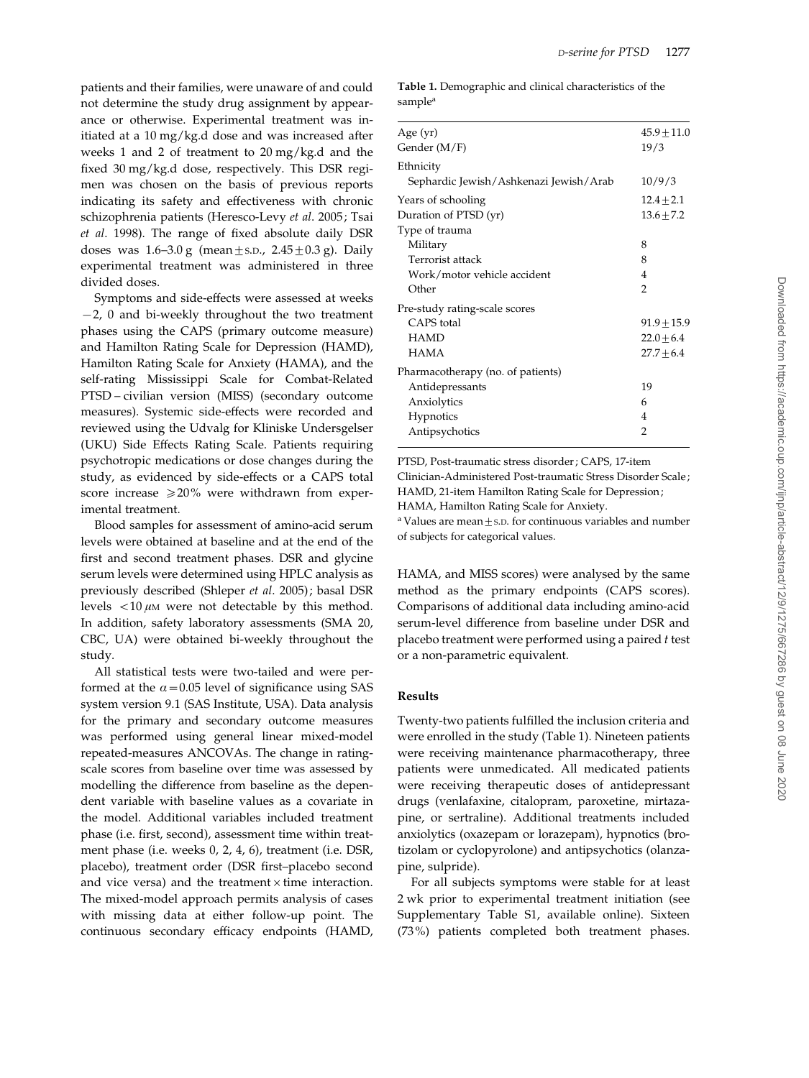patients and their families, were unaware of and could not determine the study drug assignment by appearance or otherwise. Experimental treatment was initiated at a 10 mg/kg.d dose and was increased after weeks 1 and 2 of treatment to 20 mg/kg.d and the fixed 30 mg/kg.d dose, respectively. This DSR regimen was chosen on the basis of previous reports indicating its safety and effectiveness with chronic schizophrenia patients (Heresco-Levy et al. 2005; Tsai et al. 1998). The range of fixed absolute daily DSR doses was  $1.6-3.0$  g (mean  $\pm$  s.D.,  $2.45\pm0.3$  g). Daily experimental treatment was administered in three divided doses.

Symptoms and side-effects were assessed at weeks  $-2$ , 0 and bi-weekly throughout the two treatment phases using the CAPS (primary outcome measure) and Hamilton Rating Scale for Depression (HAMD), Hamilton Rating Scale for Anxiety (HAMA), and the self-rating Mississippi Scale for Combat-Related PTSD – civilian version (MISS) (secondary outcome measures). Systemic side-effects were recorded and reviewed using the Udvalg for Kliniske Undersgelser (UKU) Side Effects Rating Scale. Patients requiring psychotropic medications or dose changes during the study, as evidenced by side-effects or a CAPS total score increase  $\geq 20\%$  were withdrawn from experimental treatment.

Blood samples for assessment of amino-acid serum levels were obtained at baseline and at the end of the first and second treatment phases. DSR and glycine serum levels were determined using HPLC analysis as previously described (Shleper et al. 2005); basal DSR levels  $\langle 10 \mu M \rangle$  were not detectable by this method. In addition, safety laboratory assessments (SMA 20, CBC, UA) were obtained bi-weekly throughout the study.

All statistical tests were two-tailed and were performed at the  $\alpha$  = 0.05 level of significance using SAS system version 9.1 (SAS Institute, USA). Data analysis for the primary and secondary outcome measures was performed using general linear mixed-model repeated-measures ANCOVAs. The change in ratingscale scores from baseline over time was assessed by modelling the difference from baseline as the dependent variable with baseline values as a covariate in the model. Additional variables included treatment phase (i.e. first, second), assessment time within treatment phase (i.e. weeks 0, 2, 4, 6), treatment (i.e. DSR, placebo), treatment order (DSR first–placebo second and vice versa) and the treatment  $\times$  time interaction. The mixed-model approach permits analysis of cases with missing data at either follow-up point. The continuous secondary efficacy endpoints (HAMD, Table 1. Demographic and clinical characteristics of the sample<sup>a</sup>

| Age $(yr)$                             | $45.9 \pm 11.0$ |
|----------------------------------------|-----------------|
| Gender (M/F)                           | 19/3            |
| Ethnicity                              |                 |
| Sephardic Jewish/Ashkenazi Jewish/Arab | 10/9/3          |
| Years of schooling                     | $12.4 \pm 2.1$  |
| Duration of PTSD (yr)                  | $13.6 \pm 7.2$  |
| Type of trauma                         |                 |
| Military                               | 8               |
| Terrorist attack                       | 8               |
| Work/motor vehicle accident            | 4               |
| Other                                  | 2               |
| Pre-study rating-scale scores          |                 |
| CAPS total                             | $91.9 \pm 15.9$ |
| <b>HAMD</b>                            | $22.0 + 6.4$    |
| <b>HAMA</b>                            | $27.7 + 6.4$    |
| Pharmacotherapy (no. of patients)      |                 |
| Antidepressants                        | 19              |
| Anxiolytics                            | 6               |
| Hypnotics                              | 4               |
| Antipsychotics                         | $\overline{2}$  |
|                                        |                 |

PTSD, Post-traumatic stress disorder ; CAPS, 17-item Clinician-Administered Post-traumatic Stress Disorder Scale; HAMD, 21-item Hamilton Rating Scale for Depression; HAMA, Hamilton Rating Scale for Anxiety.

<sup>a</sup> Values are mean $\pm$ s.D. for continuous variables and number of subjects for categorical values.

HAMA, and MISS scores) were analysed by the same method as the primary endpoints (CAPS scores). Comparisons of additional data including amino-acid serum-level difference from baseline under DSR and placebo treatment were performed using a paired t test or a non-parametric equivalent.

#### Results

Twenty-two patients fulfilled the inclusion criteria and were enrolled in the study (Table 1). Nineteen patients were receiving maintenance pharmacotherapy, three patients were unmedicated. All medicated patients were receiving therapeutic doses of antidepressant drugs (venlafaxine, citalopram, paroxetine, mirtazapine, or sertraline). Additional treatments included anxiolytics (oxazepam or lorazepam), hypnotics (brotizolam or cyclopyrolone) and antipsychotics (olanzapine, sulpride).

For all subjects symptoms were stable for at least 2 wk prior to experimental treatment initiation (see Supplementary Table S1, available online). Sixteen (73%) patients completed both treatment phases.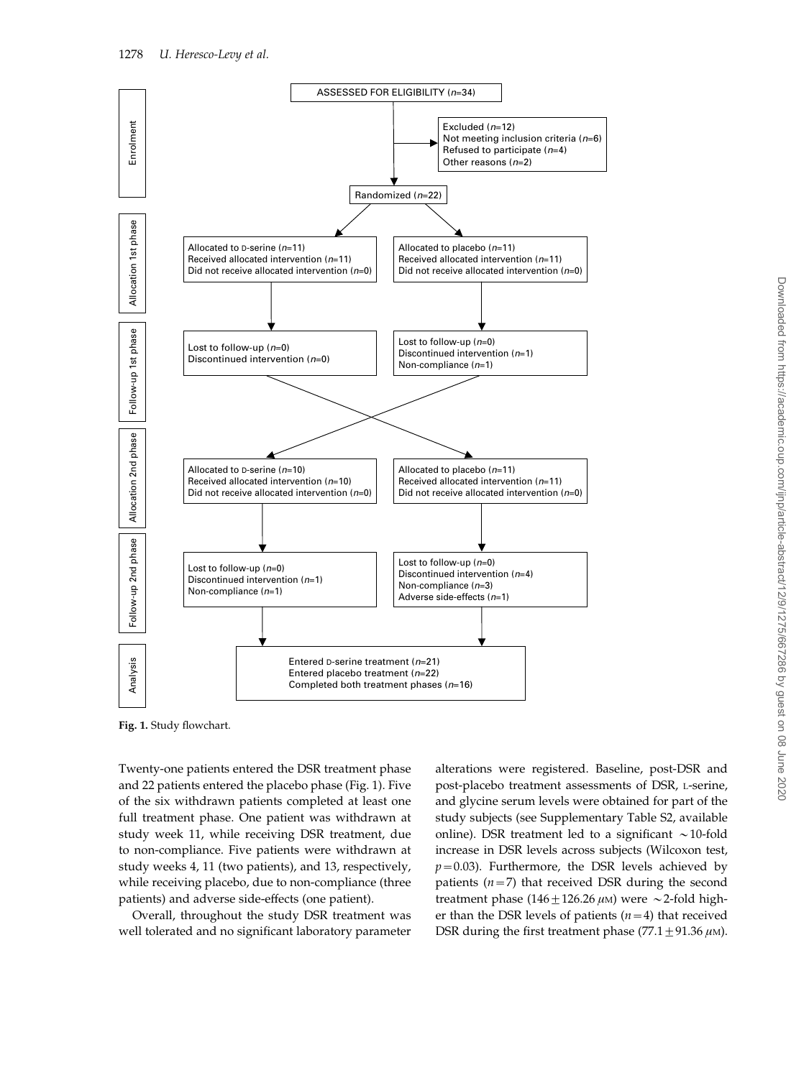

Fig. 1. Study flowchart.

Twenty-one patients entered the DSR treatment phase and 22 patients entered the placebo phase (Fig. 1). Five of the six withdrawn patients completed at least one full treatment phase. One patient was withdrawn at study week 11, while receiving DSR treatment, due to non-compliance. Five patients were withdrawn at study weeks 4, 11 (two patients), and 13, respectively, while receiving placebo, due to non-compliance (three patients) and adverse side-effects (one patient).

Overall, throughout the study DSR treatment was well tolerated and no significant laboratory parameter alterations were registered. Baseline, post-DSR and post-placebo treatment assessments of DSR, L-serine, and glycine serum levels were obtained for part of the study subjects (see Supplementary Table S2, available online). DSR treatment led to a significant  $\sim$ 10-fold increase in DSR levels across subjects (Wilcoxon test,  $p=0.03$ ). Furthermore, the DSR levels achieved by patients  $(n=7)$  that received DSR during the second treatment phase (146  $\pm$  126.26  $\mu$ M) were  $\sim$  2-fold higher than the DSR levels of patients  $(n=4)$  that received DSR during the first treatment phase (77.1  $\pm$  91.36  $\mu$ M).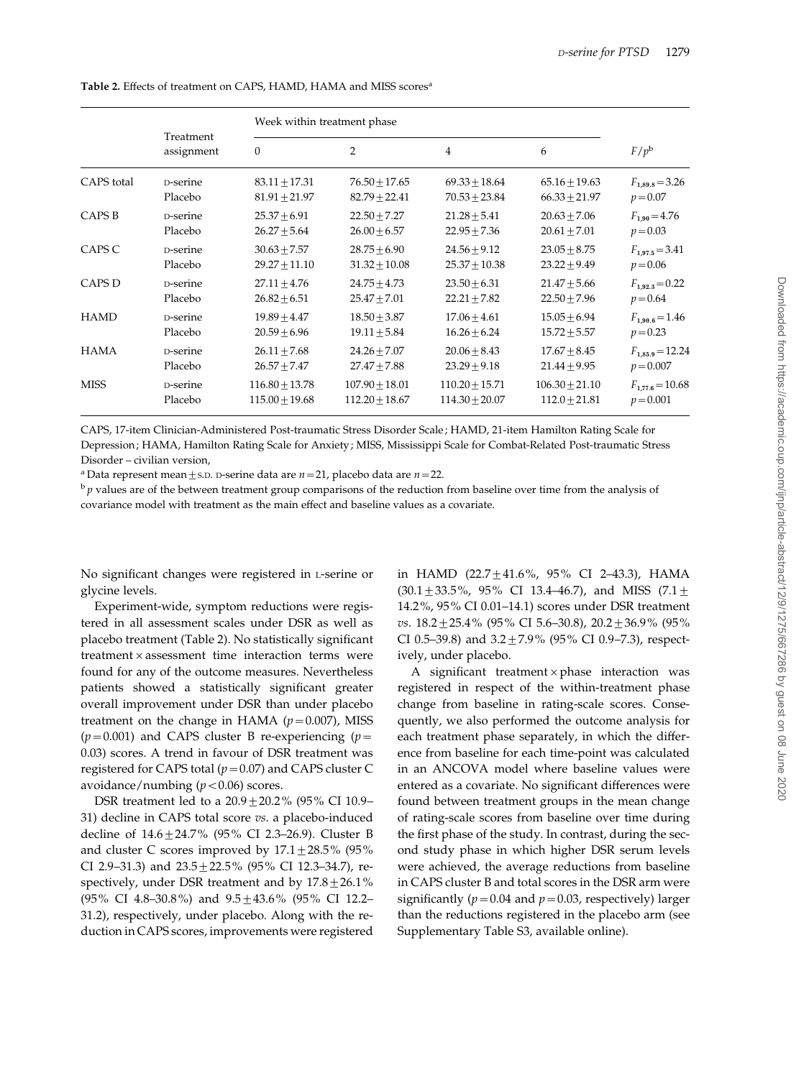|             | Treatment<br>assignment | Week within treatment phase |                    |                    |                   |                      |
|-------------|-------------------------|-----------------------------|--------------------|--------------------|-------------------|----------------------|
|             |                         | $\mathbf{0}$                | $\overline{2}$     | $\overline{4}$     | 6                 | $F/p^b$              |
| CAPS total  | D-serine                | $83.11 + 17.31$             | $76.50 + 17.65$    | $69.33 + 18.64$    | $65.16 + 19.63$   | $F_{1,89.8} = 3.26$  |
|             | Placebo                 | $81.91 \pm 21.97$           | $82.79 \pm 22.41$  | $70.53 \pm 23.84$  | $66.33 \pm 21.97$ | $p = 0.07$           |
| CAPS B      | <b>D-serine</b>         | $25.37 + 6.91$              | $22.50 + 7.27$     | $21.28 + 5.41$     | $20.63 + 7.06$    | $F_{1,90} = 4.76$    |
|             | Placebo                 | $26.27 \pm 5.64$            | $26.00 \pm 6.57$   | $22.95 \pm 7.36$   | $20.61 \pm 7.01$  | $p = 0.03$           |
| CAPS C      | D-serine                | $30.63 + 7.57$              | $28.75 \pm 6.90$   | $24.56 + 9.12$     | $23.05 + 8.75$    | $F_{1.97.5} = 3.41$  |
|             | Placebo                 | $29.27 + 11.10$             | $31.32 \pm 10.08$  | $25.37 \pm 10.38$  | $23.22 \pm 9.49$  | $p = 0.06$           |
| CAPS D      | D-serine                | $27.11 + 4.76$              | $24.75 + 4.73$     | $23.50 + 6.31$     | $21.47 + 5.66$    | $F_{1,92.3} = 0.22$  |
|             | Placebo                 | $26.82 \pm 6.51$            | $25.47 \pm 7.01$   | $22.21 \pm 7.82$   | $22.50 \pm 7.96$  | $p = 0.64$           |
| <b>HAMD</b> | D-serine                | $19.89 + 4.47$              | $18.50 + 3.87$     | $17.06 + 4.61$     | $15.05 + 6.94$    | $F_{1.90.6} = 1.46$  |
|             | Placebo                 | $20.59 \pm 6.96$            | $19.11 \pm 5.84$   | $16.26 \pm 6.24$   | $15.72 \pm 5.57$  | $p = 0.23$           |
| <b>HAMA</b> | D-serine                | $26.11 \pm 7.68$            | $24.26 + 7.07$     | $20.06 + 8.43$     | $17.67 + 8.45$    | $F_{1,85,9} = 12.24$ |
|             | Placebo                 | $26.57 \pm 7.47$            | $27.47 \pm 7.88$   | $23.29 \pm 9.18$   | $21.44 \pm 9.95$  | $p = 0.007$          |
| <b>MISS</b> | <b>D-serine</b>         | $116.80 + 13.78$            | $107.90 + 18.01$   | $110.20 + 15.71$   | $106.30 + 21.10$  | $F_{1.77.6} = 10.68$ |
|             | Placebo                 | $115.00 + 19.68$            | $112.20 \pm 18.67$ | $114.30 \pm 20.07$ | $112.0 \pm 21.81$ | $p = 0.001$          |

Table 2. Effects of treatment on CAPS, HAMD, HAMA and MISS scores<sup>a</sup>

CAPS, 17-item Clinician-Administered Post-traumatic Stress Disorder Scale; HAMD, 21-item Hamilton Rating Scale for Depression; HAMA, Hamilton Rating Scale for Anxiety; MISS, Mississippi Scale for Combat-Related Post-traumatic Stress Disorder – civilian version,

<sup>a</sup> Data represent mean  $\pm$  s.D. D-serine data are  $n=21$ , placebo data are  $n=22$ .

 $\mathfrak{b}_p$  values are of the between treatment group comparisons of the reduction from baseline over time from the analysis of covariance model with treatment as the main effect and baseline values as a covariate.

No significant changes were registered in L-serine or glycine levels.

Experiment-wide, symptom reductions were registered in all assessment scales under DSR as well as placebo treatment (Table 2). No statistically significant treatment  $\times$  assessment time interaction terms were found for any of the outcome measures. Nevertheless patients showed a statistically significant greater overall improvement under DSR than under placebo treatment on the change in HAMA  $(p=0.007)$ , MISS  $(p=0.001)$  and CAPS cluster B re-experiencing  $(p=0.001)$ 0.03) scores. A trend in favour of DSR treatment was registered for CAPS total ( $p=0.07$ ) and CAPS cluster C avoidance/numbing  $(p < 0.06)$  scores.

DSR treatment led to a  $20.9 \pm 20.2$ % (95% CI 10.9– 31) decline in CAPS total score vs. a placebo-induced decline of  $14.6 + 24.7\%$  (95% CI 2.3–26.9). Cluster B and cluster C scores improved by  $17.1 \pm 28.5\%$  (95% CI 2.9-31.3) and  $23.5 + 22.5\%$  (95% CI 12.3-34.7), respectively, under DSR treatment and by  $17.8 \pm 26.1\%$ (95% CI 4.8–30.8%) and  $9.5 \pm 43.6\%$  (95% CI 12.2– 31.2), respectively, under placebo. Along with the reduction in CAPS scores, improvements were registered

in HAMD (22.7 $\pm$ 41.6%, 95% CI 2-43.3), HAMA  $(30.1 \pm 33.5\%, 95\% \text{ CI } 13.4-46.7)$ , and MISS  $(7.1 \pm$ 14.2%, 95% CI 0.01–14.1) scores under DSR treatment vs.  $18.2 \pm 25.4\%$  (95% CI 5.6–30.8),  $20.2 \pm 36.9\%$  (95% CI 0.5–39.8) and  $3.2 \pm 7.9\%$  (95% CI 0.9–7.3), respectively, under placebo.

A significant treatment  $\times$  phase interaction was registered in respect of the within-treatment phase change from baseline in rating-scale scores. Consequently, we also performed the outcome analysis for each treatment phase separately, in which the difference from baseline for each time-point was calculated in an ANCOVA model where baseline values were entered as a covariate. No significant differences were found between treatment groups in the mean change of rating-scale scores from baseline over time during the first phase of the study. In contrast, during the second study phase in which higher DSR serum levels were achieved, the average reductions from baseline in CAPS cluster B and total scores in the DSR arm were significantly ( $p=0.04$  and  $p=0.03$ , respectively) larger than the reductions registered in the placebo arm (see Supplementary Table S3, available online).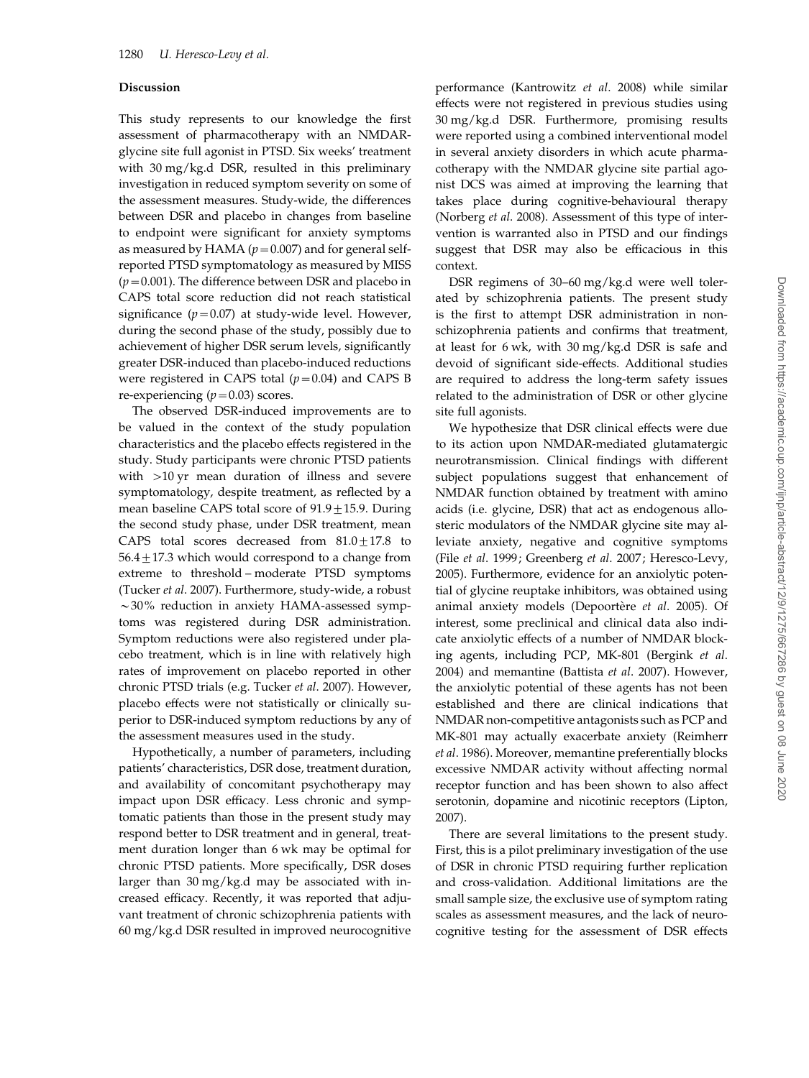#### Discussion

This study represents to our knowledge the first assessment of pharmacotherapy with an NMDARglycine site full agonist in PTSD. Six weeks' treatment with 30 mg/kg.d DSR, resulted in this preliminary investigation in reduced symptom severity on some of the assessment measures. Study-wide, the differences between DSR and placebo in changes from baseline to endpoint were significant for anxiety symptoms as measured by HAMA ( $p=0.007$ ) and for general selfreported PTSD symptomatology as measured by MISS  $(p=0.001)$ . The difference between DSR and placebo in CAPS total score reduction did not reach statistical significance  $(p=0.07)$  at study-wide level. However, during the second phase of the study, possibly due to achievement of higher DSR serum levels, significantly greater DSR-induced than placebo-induced reductions were registered in CAPS total  $(p=0.04)$  and CAPS B re-experiencing  $(p=0.03)$  scores.

The observed DSR-induced improvements are to be valued in the context of the study population characteristics and the placebo effects registered in the study. Study participants were chronic PTSD patients with >10 yr mean duration of illness and severe symptomatology, despite treatment, as reflected by a mean baseline CAPS total score of  $91.9 \pm 15.9$ . During the second study phase, under DSR treatment, mean CAPS total scores decreased from  $81.0 \pm 17.8$  to  $56.4 \pm 17.3$  which would correspond to a change from extreme to threshold – moderate PTSD symptoms (Tucker et al. 2007). Furthermore, study-wide, a robust  $\sim$ 30% reduction in anxiety HAMA-assessed symptoms was registered during DSR administration. Symptom reductions were also registered under placebo treatment, which is in line with relatively high rates of improvement on placebo reported in other chronic PTSD trials (e.g. Tucker et al. 2007). However, placebo effects were not statistically or clinically superior to DSR-induced symptom reductions by any of the assessment measures used in the study.

Hypothetically, a number of parameters, including patients' characteristics, DSR dose, treatment duration, and availability of concomitant psychotherapy may impact upon DSR efficacy. Less chronic and symptomatic patients than those in the present study may respond better to DSR treatment and in general, treatment duration longer than 6 wk may be optimal for chronic PTSD patients. More specifically, DSR doses larger than 30 mg/kg.d may be associated with increased efficacy. Recently, it was reported that adjuvant treatment of chronic schizophrenia patients with 60 mg/kg.d DSR resulted in improved neurocognitive

performance (Kantrowitz et al. 2008) while similar effects were not registered in previous studies using 30 mg/kg.d DSR. Furthermore, promising results were reported using a combined interventional model in several anxiety disorders in which acute pharmacotherapy with the NMDAR glycine site partial agonist DCS was aimed at improving the learning that takes place during cognitive-behavioural therapy (Norberg et al. 2008). Assessment of this type of intervention is warranted also in PTSD and our findings suggest that DSR may also be efficacious in this context.

DSR regimens of 30–60 mg/kg.d were well tolerated by schizophrenia patients. The present study is the first to attempt DSR administration in nonschizophrenia patients and confirms that treatment, at least for 6 wk, with 30 mg/kg.d DSR is safe and devoid of significant side-effects. Additional studies are required to address the long-term safety issues related to the administration of DSR or other glycine site full agonists.

We hypothesize that DSR clinical effects were due to its action upon NMDAR-mediated glutamatergic neurotransmission. Clinical findings with different subject populations suggest that enhancement of NMDAR function obtained by treatment with amino acids (i.e. glycine, DSR) that act as endogenous allosteric modulators of the NMDAR glycine site may alleviate anxiety, negative and cognitive symptoms (File et al. 1999; Greenberg et al. 2007; Heresco-Levy, 2005). Furthermore, evidence for an anxiolytic potential of glycine reuptake inhibitors, was obtained using animal anxiety models (Depoortère et al. 2005). Of interest, some preclinical and clinical data also indicate anxiolytic effects of a number of NMDAR blocking agents, including PCP, MK-801 (Bergink et al. 2004) and memantine (Battista et al. 2007). However, the anxiolytic potential of these agents has not been established and there are clinical indications that NMDAR non-competitive antagonists such as PCP and MK-801 may actually exacerbate anxiety (Reimherr et al. 1986). Moreover, memantine preferentially blocks excessive NMDAR activity without affecting normal receptor function and has been shown to also affect serotonin, dopamine and nicotinic receptors (Lipton, 2007).

There are several limitations to the present study. First, this is a pilot preliminary investigation of the use of DSR in chronic PTSD requiring further replication and cross-validation. Additional limitations are the small sample size, the exclusive use of symptom rating scales as assessment measures, and the lack of neurocognitive testing for the assessment of DSR effects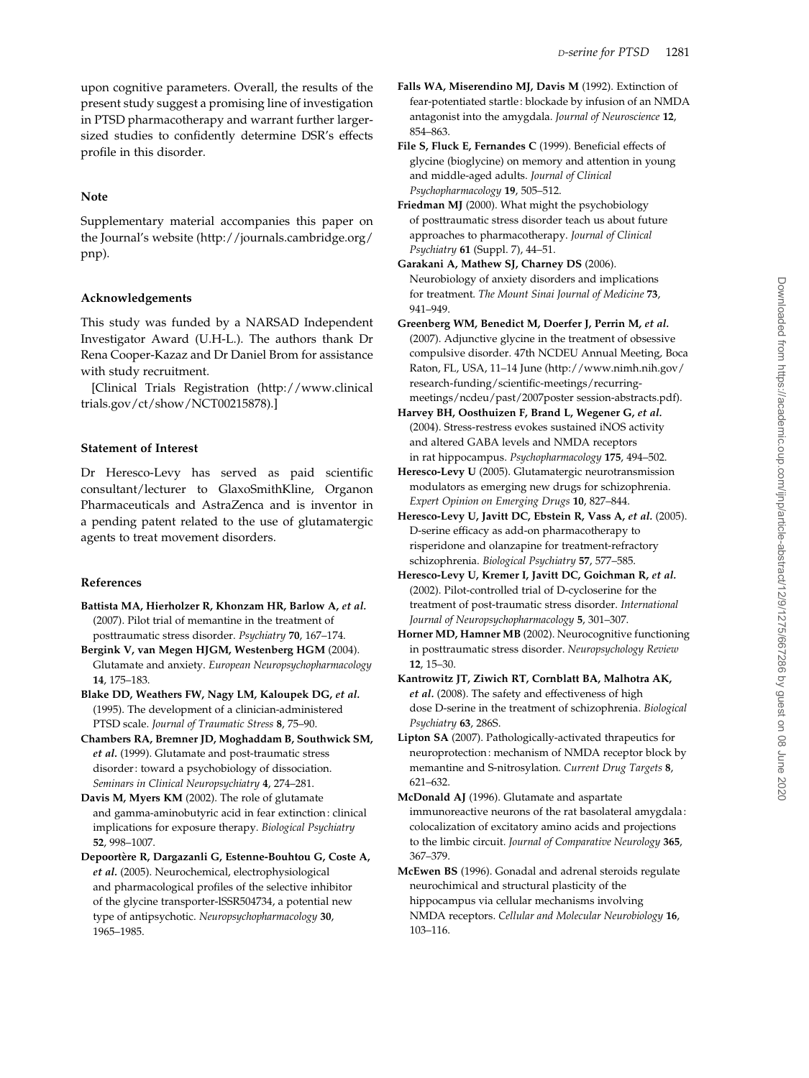upon cognitive parameters. Overall, the results of the present study suggest a promising line of investigation in PTSD pharmacotherapy and warrant further largersized studies to confidently determine DSR's effects profile in this disorder.

## Note

Supplementary material accompanies this paper on the Journal's website (http://journals.cambridge.org/ pnp).

# Acknowledgements

This study was funded by a NARSAD Independent Investigator Award (U.H-L.). The authors thank Dr Rena Cooper-Kazaz and Dr Daniel Brom for assistance with study recruitment.

[Clinical Trials Registration (http://www.clinical trials.gov/ct/show/NCT00215878).]

# Statement of Interest

Dr Heresco-Levy has served as paid scientific consultant/lecturer to GlaxoSmithKline, Organon Pharmaceuticals and AstraZenca and is inventor in a pending patent related to the use of glutamatergic agents to treat movement disorders.

# References

- Battista MA, Hierholzer R, Khonzam HR, Barlow A, et al. (2007). Pilot trial of memantine in the treatment of posttraumatic stress disorder. Psychiatry 70, 167–174.
- Bergink V, van Megen HJGM, Westenberg HGM (2004). Glutamate and anxiety. European Neuropsychopharmacology 14, 175–183.
- Blake DD, Weathers FW, Nagy LM, Kaloupek DG, et al. (1995). The development of a clinician-administered PTSD scale. Journal of Traumatic Stress 8, 75–90.
- Chambers RA, Bremner JD, Moghaddam B, Southwick SM, et al. (1999). Glutamate and post-traumatic stress disorder: toward a psychobiology of dissociation. Seminars in Clinical Neuropsychiatry 4, 274–281.
- Davis M, Myers KM (2002). The role of glutamate and gamma-aminobutyric acid in fear extinction: clinical implications for exposure therapy. Biological Psychiatry 52, 998–1007.
- Depoortère R, Dargazanli G, Estenne-Bouhtou G, Coste A, et al. (2005). Neurochemical, electrophysiological and pharmacological profiles of the selective inhibitor of the glycine transporter-lSSR504734, a potential new type of antipsychotic. Neuropsychopharmacology 30, 1965–1985.
- Falls WA, Miserendino MJ, Davis M (1992). Extinction of fear-potentiated startle: blockade by infusion of an NMDA antagonist into the amygdala. Journal of Neuroscience 12, 854–863.
- File S, Fluck E, Fernandes C (1999). Beneficial effects of glycine (bioglycine) on memory and attention in young and middle-aged adults. Journal of Clinical Psychopharmacology 19, 505–512.
- Friedman MJ (2000). What might the psychobiology of posttraumatic stress disorder teach us about future approaches to pharmacotherapy. Journal of Clinical Psychiatry 61 (Suppl. 7), 44–51.
- Garakani A, Mathew SJ, Charney DS (2006). Neurobiology of anxiety disorders and implications for treatment. The Mount Sinai Journal of Medicine 73, 941–949.
- Greenberg WM, Benedict M, Doerfer J, Perrin M, et al. (2007). Adjunctive glycine in the treatment of obsessive compulsive disorder. 47th NCDEU Annual Meeting, Boca Raton, FL, USA, 11–14 June (http://www.nimh.nih.gov/ research-funding/scientific-meetings/recurringmeetings/ncdeu/past/2007poster session-abstracts.pdf).
- Harvey BH, Oosthuizen F, Brand L, Wegener G, et al. (2004). Stress-restress evokes sustained iNOS activity and altered GABA levels and NMDA receptors in rat hippocampus. Psychopharmacology 175, 494–502.
- Heresco-Levy U (2005). Glutamatergic neurotransmission modulators as emerging new drugs for schizophrenia. Expert Opinion on Emerging Drugs 10, 827–844.
- Heresco-Levy U, Javitt DC, Ebstein R, Vass A, et al. (2005). D-serine efficacy as add-on pharmacotherapy to risperidone and olanzapine for treatment-refractory schizophrenia. Biological Psychiatry 57, 577–585.
- Heresco-Levy U, Kremer I, Javitt DC, Goichman R, et al. (2002). Pilot-controlled trial of D-cycloserine for the treatment of post-traumatic stress disorder. International Journal of Neuropsychopharmacology 5, 301–307.
- Horner MD, Hamner MB (2002). Neurocognitive functioning in posttraumatic stress disorder. Neuropsychology Review 12, 15–30.
- Kantrowitz JT, Ziwich RT, Cornblatt BA, Malhotra AK, et al. (2008). The safety and effectiveness of high dose D-serine in the treatment of schizophrenia. Biological Psychiatry 63, 286S.
- Lipton SA (2007). Pathologically-activated thrapeutics for neuroprotection: mechanism of NMDA receptor block by memantine and S-nitrosylation. Current Drug Targets 8, 621–632.
- McDonald AJ (1996). Glutamate and aspartate immunoreactive neurons of the rat basolateral amygdala: colocalization of excitatory amino acids and projections to the limbic circuit. Journal of Comparative Neurology 365, 367–379.
- McEwen BS (1996). Gonadal and adrenal steroids regulate neurochimical and structural plasticity of the hippocampus via cellular mechanisms involving NMDA receptors. Cellular and Molecular Neurobiology 16, 103–116.